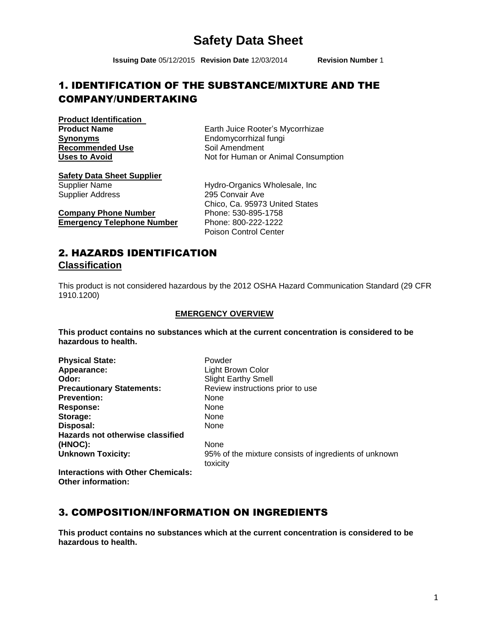# **Safety Data Sheet**

**Issuing Date** 05/12/2015 **Revision Date** 12/03/2014 **Revision Number** 1

# 1. IDENTIFICATION OF THE SUBSTANCE/MIXTURE AND THE COMPANY/UNDERTAKING

**Product Identification Synonyms**<br> **Recommended Use**<br> **Recommended Use**<br> **Endomycorrhizal fungi**<br>
Soil Amendment **Recommended Use** 

**Product Name Earth Juice Rooter's Mycorrhizae** Uses to Avoid Not for Human or Animal Consumption

**Safety Data Sheet Supplier**

Supplier Address 295 Convair Ave

**Company Phone Number** Phone: 530-895-1758 **Emergency Telephone Number** Phone: 800-222-1222

Supplier Name **Hydro-Organics Wholesale, Inc.** Chico, Ca. 95973 United States Poison Control Center

#### 2. HAZARDS IDENTIFICATION **Classification**

This product is not considered hazardous by the 2012 OSHA Hazard Communication Standard (29 CFR 1910.1200)

#### **EMERGENCY OVERVIEW**

**This product contains no substances which at the current concentration is considered to be hazardous to health.**

Physical State: Powder **Appearance:** Light Brown Color **Odor:** Slight Earthy Smell **Precautionary Statements:** Review instructions prior to use **Prevention:** None Response: None **Storage:** None<br> **Disposal:** None **Disposal: Hazards not otherwise classified (HNOC):** None

**Unknown Toxicity:** 95% of the mixture consists of ingredients of unknown toxicity

**Interactions with Other Chemicals: Other information:**

## 3. COMPOSITION/INFORMATION ON INGREDIENTS

**This product contains no substances which at the current concentration is considered to be hazardous to health.**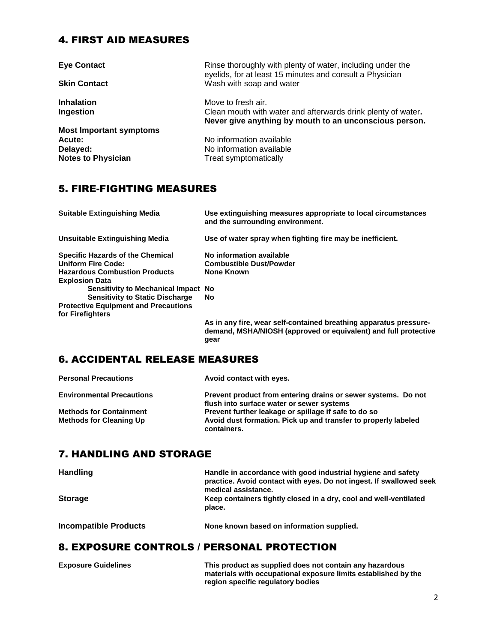#### 4. FIRST AID MEASURES

| <b>Eye Contact</b>             | Rinse thoroughly with plenty of water, including under the<br>eyelids, for at least 15 minutes and consult a Physician |  |
|--------------------------------|------------------------------------------------------------------------------------------------------------------------|--|
| <b>Skin Contact</b>            | Wash with soap and water                                                                                               |  |
| <b>Inhalation</b>              | Move to fresh air.<br>Clean mouth with water and afterwards drink plenty of water.                                     |  |
| Ingestion                      | Never give anything by mouth to an unconscious person.                                                                 |  |
| <b>Most Important symptoms</b> |                                                                                                                        |  |
| Acute:                         | No information available                                                                                               |  |
| Delayed:                       | No information available                                                                                               |  |
| <b>Notes to Physician</b>      | Treat symptomatically                                                                                                  |  |

## 5. FIRE-FIGHTING MEASURES

| <b>Suitable Extinguishing Media</b>         | Use extinguishing measures appropriate to local circumstances<br>and the surrounding environment.                                    |
|---------------------------------------------|--------------------------------------------------------------------------------------------------------------------------------------|
| Unsuitable Extinguishing Media              | Use of water spray when fighting fire may be inefficient.                                                                            |
| <b>Specific Hazards of the Chemical</b>     | No information available                                                                                                             |
| <b>Uniform Fire Code:</b>                   | <b>Combustible Dust/Powder</b>                                                                                                       |
| <b>Hazardous Combustion Products</b>        | <b>None Known</b>                                                                                                                    |
| <b>Explosion Data</b>                       |                                                                                                                                      |
| Sensitivity to Mechanical Impact No.        |                                                                                                                                      |
| <b>Sensitivity to Static Discharge</b>      | No                                                                                                                                   |
| <b>Protective Equipment and Precautions</b> |                                                                                                                                      |
| for Firefighters                            |                                                                                                                                      |
|                                             | As in any fire, wear self-contained breathing apparatus pressure-<br>demand, MSHA/NIOSH (approved or equivalent) and full protective |

**gear**

#### 6. ACCIDENTAL RELEASE MEASURES

| <b>Personal Precautions</b>      | Avoid contact with eyes.                                                      |
|----------------------------------|-------------------------------------------------------------------------------|
| <b>Environmental Precautions</b> | Prevent product from entering drains or sewer systems. Do not                 |
|                                  | flush into surface water or sewer systems                                     |
| <b>Methods for Containment</b>   | Prevent further leakage or spillage if safe to do so                          |
| <b>Methods for Cleaning Up</b>   | Avoid dust formation. Pick up and transfer to properly labeled<br>containers. |

#### 7. HANDLING AND STORAGE

| <b>Handling</b>              | Handle in accordance with good industrial hygiene and safety<br>practice. Avoid contact with eyes. Do not ingest. If swallowed seek<br>medical assistance. |  |
|------------------------------|------------------------------------------------------------------------------------------------------------------------------------------------------------|--|
| <b>Storage</b>               | Keep containers tightly closed in a dry, cool and well-ventilated<br>place.                                                                                |  |
| <b>Incompatible Products</b> | None known based on information supplied.                                                                                                                  |  |

#### 8. EXPOSURE CONTROLS / PERSONAL PROTECTION

| <b>Exposure Guidelines</b> | This product as supplied does not contain any hazardous        |
|----------------------------|----------------------------------------------------------------|
|                            | materials with occupational exposure limits established by the |
|                            | region specific regulatory bodies                              |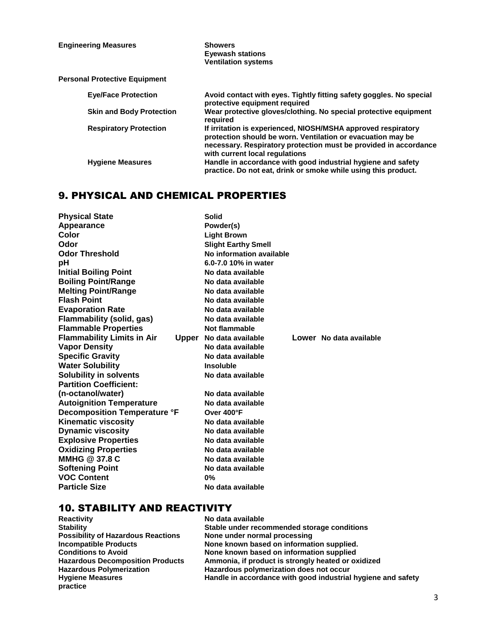| <b>Engineering Measures</b>          | <b>Showers</b><br><b>Evewash stations</b><br><b>Ventilation systems</b>                                                                                                                                                            |  |
|--------------------------------------|------------------------------------------------------------------------------------------------------------------------------------------------------------------------------------------------------------------------------------|--|
| <b>Personal Protective Equipment</b> |                                                                                                                                                                                                                                    |  |
| <b>Eye/Face Protection</b>           | Avoid contact with eyes. Tightly fitting safety goggles. No special<br>protective equipment required                                                                                                                               |  |
| <b>Skin and Body Protection</b>      | Wear protective gloves/clothing. No special protective equipment<br>reauired                                                                                                                                                       |  |
| <b>Respiratory Protection</b>        | If irritation is experienced, NIOSH/MSHA approved respiratory<br>protection should be worn. Ventilation or evacuation may be<br>necessary. Respiratory protection must be provided in accordance<br>with current local regulations |  |
| <b>Hygiene Measures</b>              | Handle in accordance with good industrial hygiene and safety<br>practice. Do not eat, drink or smoke while using this product.                                                                                                     |  |

#### 9. PHYSICAL AND CHEMICAL PROPERTIES

| <b>Physical State</b>               | <b>Solid</b>               |                         |
|-------------------------------------|----------------------------|-------------------------|
| Appearance                          | Powder(s)                  |                         |
| Color                               | <b>Light Brown</b>         |                         |
| Odor                                | <b>Slight Earthy Smell</b> |                         |
| <b>Odor Threshold</b>               | No information available   |                         |
| pH                                  | 6.0-7.0 10% in water       |                         |
| <b>Initial Boiling Point</b>        | No data available          |                         |
| <b>Boiling Point/Range</b>          | No data available          |                         |
| <b>Melting Point/Range</b>          | No data available          |                         |
| <b>Flash Point</b>                  | No data available          |                         |
| <b>Evaporation Rate</b>             | No data available          |                         |
| Flammability (solid, gas)           | No data available          |                         |
| <b>Flammable Properties</b>         | Not flammable              |                         |
| <b>Flammability Limits in Air</b>   | Upper No data available    | Lower No data available |
| <b>Vapor Density</b>                | No data available          |                         |
| <b>Specific Gravity</b>             | No data available          |                         |
| <b>Water Solubility</b>             | <b>Insoluble</b>           |                         |
| <b>Solubility in solvents</b>       | No data available          |                         |
| <b>Partition Coefficient:</b>       |                            |                         |
| (n-octanol/water)                   | No data available          |                         |
| <b>Autoignition Temperature</b>     | No data available          |                         |
| <b>Decomposition Temperature °F</b> | Over 400°F                 |                         |
| <b>Kinematic viscosity</b>          | No data available          |                         |
| <b>Dynamic viscosity</b>            | No data available          |                         |
| <b>Explosive Properties</b>         | No data available          |                         |
| <b>Oxidizing Properties</b>         | No data available          |                         |
| MMHG @ 37.8 C                       | No data available          |                         |
| <b>Softening Point</b>              | No data available          |                         |
| <b>VOC Content</b>                  | $0\%$                      |                         |
| <b>Particle Size</b>                | No data available          |                         |

# **10. STABILITY AND REACTIVITY**<br>Reactivity No data

**Reactivity No data available**<br> **Stability Stability Stability Stability Stable under recommended storage conditions None under normal processing Possibility of Hazardous Reactions<br>Incompatible Products Incompatible Products Conditions to Avoid Conditions in the View Work Roughly Conditions to Avoid Conditions Conditions in None known based on information supplied. Conditions to Avoid Conditions to Avoid Conditions is all Avoid Conditions to Avoid Condition Products** Ammonia, if product is strongly heated or ox Hazardous Decomposition Products Ammonia, if product is strongly heated or oxidized<br>Hazardous Polymerization **Hazardous polymerization does not occur Hazardous Polymerization Francisc Education Hazardous polymerization does not occur<br>Handle in accordance with good industrial<br>Handle in accordance with good industrial** Handle in accordance with good industrial hygiene and safety **practice**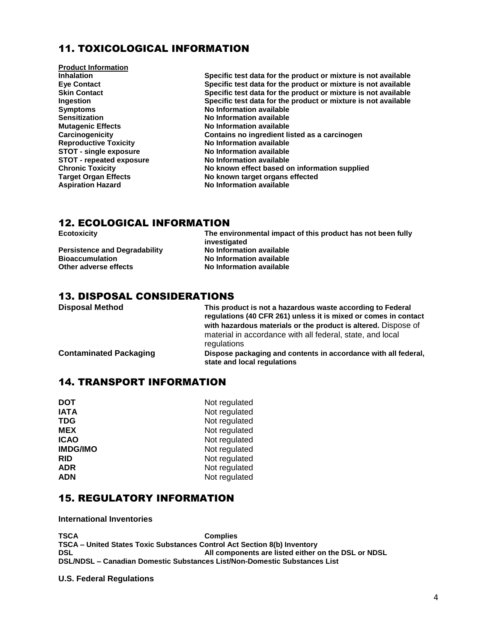#### 11. TOXICOLOGICAL INFORMATION

**Product Information Symptoms No Information available Sensitization No Information available Mutagenic Effects**<br> **Carcinogenicity**<br> **Contains no ingredient lists STOT - single exposure No Information available STOT - repeated exposure**<br>**Chronic Toxicity** 

**Inhalation**<br> **Inhalation**<br> **Specific test data for the product or mixture is not available**<br> **Specific test data for the product or mixture is not available Eye Contact Specific test data for the product or mixture is not available Skin Contact Specific test data for the product or mixture is not available Ingestion Specific test data for the product or mixture is not available Carcinogenicity Contains no ingredient listed as a carcinogen No Information available**<br>**No Information available Chronic Toxicity Chronic Toxicity** No known effect based on information supplied<br>Target Organ Effects **No known target organs effected Target Organ Effects**<br>
Aspiration Hazard<br>
No Information available<br>
No Information available **No Information available** 

#### 12. ECOLOGICAL INFORMATION

| <b>Ecotoxicity</b>                   | The environmental impact of this product has not been fully |  |
|--------------------------------------|-------------------------------------------------------------|--|
|                                      | investigated                                                |  |
| <b>Persistence and Degradability</b> | No Information available                                    |  |
| <b>Bioaccumulation</b>               | No Information available                                    |  |
| Other adverse effects                | No Information available                                    |  |
|                                      |                                                             |  |

#### 13. DISPOSAL CONSIDERATIONS

| <b>Disposal Method</b>        | This product is not a hazardous waste according to Federal<br>regulations (40 CFR 261) unless it is mixed or comes in contact<br>with hazardous materials or the product is altered. Dispose of<br>material in accordance with all federal, state, and local |
|-------------------------------|--------------------------------------------------------------------------------------------------------------------------------------------------------------------------------------------------------------------------------------------------------------|
|                               | regulations                                                                                                                                                                                                                                                  |
| <b>Contaminated Packaging</b> | Dispose packaging and contents in accordance with all federal,<br>state and local regulations                                                                                                                                                                |

#### 14. TRANSPORT INFORMATION

| <b>DOT</b>      | Not regulated |
|-----------------|---------------|
| <b>IATA</b>     | Not regulated |
| <b>TDG</b>      | Not regulated |
| <b>MEX</b>      | Not regulated |
| <b>ICAO</b>     | Not regulated |
| <b>IMDG/IMO</b> | Not regulated |
| <b>RID</b>      | Not regulated |
| <b>ADR</b>      | Not regulated |
| <b>ADN</b>      | Not regulated |
|                 |               |

#### 15. REGULATORY INFORMATION

**International Inventories**

**TSCA Complies TSCA – United States Toxic Substances Control Act Section 8(b) Inventory DSL All components are listed either on the DSL or NDSL DSL/NDSL – Canadian Domestic Substances List/Non-Domestic Substances List**

**U.S. Federal Regulations**